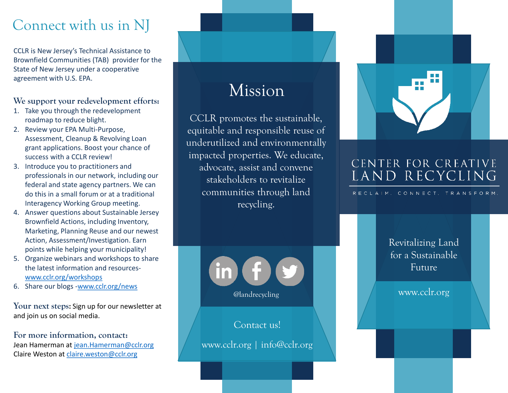### Connect with us in NJ

CCLR is New Jersey's Technical Assistance to Brownfield Communities (TAB) provider for the State of New Jersey under a cooperative agreement with U.S. EPA.

### **We support your redevelopment efforts:**

- 1. Take you through the redevelopment roadmap to reduce blight.
- 2. Review your EPA Multi-Purpose, Assessment, Cleanup & Revolving Loan grant applications. Boost your chance of success with a CCLR review!
- 3. Introduce you to practitioners and professionals in our network, including our federal and state agency partners. We can do this in a small forum or at a traditional Interagency Working Group meeting.
- 4. Answer questions about Sustainable Jersey Brownfield Actions, including Inventory, Marketing, Planning Reuse and our newest Action, Assessment/Investigation. Earn points while helping your municipality!
- 5. Organize webinars and workshops to share the latest information and resources[www.cclr.org/workshops](http://www.cclr.org/workshops)
- 6. Share our blogs -[www.cclr.org/news](http://www.cclr.org/news)

**Your next steps:** Sign up for our newsletter at and join us on social media.

**For more information, contact:** Jean Hamerman at [jean.Hamerman@cclr.org](mailto:jean.Hamerman@cclr.org) Claire Weston at [claire.weston@cclr.org](mailto:claire.weston@cclr.org)

### Mission

CCLR promotes the sustainable, equitable and responsible reuse of underutilized and environmentally impacted properties. We educate, advocate, assist and convene stakeholders to revitalize communities through land recycling.



Contact us!

www.cclr.org | info@cclr.org



### CENTER FOR CREATIVE LAND RECYCLING

RECLAIM. CONNECT. TRANSFORM.

Revitalizing Land for a Sustainable Future

www.cclr.org